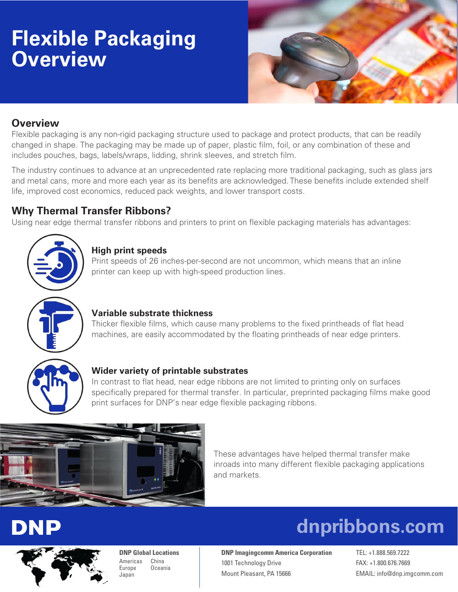## **Flexible Packaging Overview**



## **Overview**

Flexible packaging is any non-rigid packaging structure used to package and protect products, that can be readily changed in shape. The packaging may be made up of paper, plastic film, foil, or any combination of these and includes pouches, bags, labels/wraps, lidding, shrink sleeves, and stretch film.

The industry continues to advance at an unprecedented rate replacing more traditional packaging, such as glass jars and metal cans, more and more each year as its benefits are acknowledged. These benefits include extended shelf life, improved cost economics, reduced pack weights, and lower transport costs.

## **Why Thermal Transfer Ribbons?**

Using near edge thermal transfer ribbons and printers to print on flexible packaging materials has advantages:



## **High print speeds**

Print speeds of 26 inches-per-second are not uncommon, which means that an inline printer can keep up with high-speed production lines.



### **Variable substrate thickness**

Thicker flexible films, which cause many problems to the fixed printheads of flat head machines, are easily accommodated by the floating printheads of near edge printers.



### **Wider variety of printable substrates**

In contrast to flat head, near edge ribbons are not limited to printing only on surfaces specifically prepared for thermal transfer. In particular, preprinted packaging films make good print surfaces for DNP's near edge flexible packaging ribbons.



These advantages have helped thermal transfer make inroads into many different flexible packaging applications and markets.

# DNP



**DNP Global Locations** Americas China Europe Oceania Japan

**DNP Imagingcomm America Corporation** TEL: +1.888.569.7222 1001 Technology Drive FAX: +1.800.676.7669 Mount Pleasant, PA 15666 EMAIL: [info@dnp.imgcomm.com](mailto:info%40dnp.imgcomm.com%20?subject=)

 **[dnpribbons.com](https://am.dnpribbons.com/)**